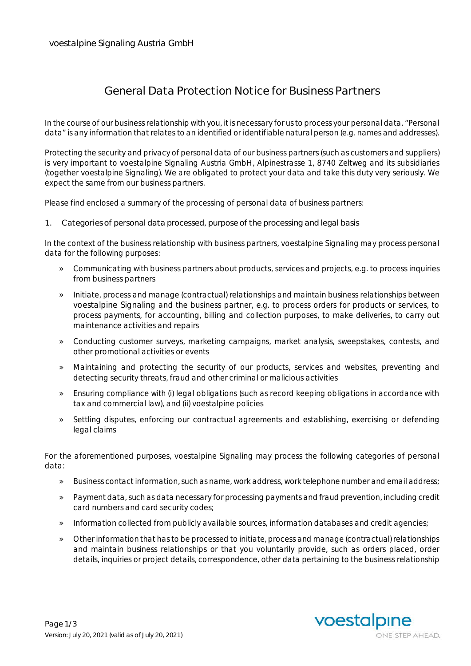## **General Data Protection Notice for Business Partners**

In the course of our business relationship with you, it is necessary for us to process your personal data. "Personal data" is any information that relates to an identified or identifiable natural person (e.g. names and addresses).

Protecting the security and privacy of personal data of our business partners (such as customers and suppliers) is very important to voestalpine Signaling Austria GmbH, Alpinestrasse 1, 8740 Zeltweg and its subsidiaries (together voestalpine Signaling). We are obligated to protect your data and take this duty very seriously. We expect the same from our business partners.

Please find enclosed a summary of the processing of personal data of business partners:

**1. Categories of personal data processed, purpose of the processing and legal basis**

In the context of the business relationship with business partners, voestalpine Signaling may process personal data for the following purposes:

- » Communicating with business partners about products, services and projects, e.g. to process inquiries from business partners
- » Initiate, process and manage (contractual) relationships and maintain business relationships between voestalpine Signaling and the business partner, e.g. to process orders for products or services, to process payments, for accounting, billing and collection purposes, to make deliveries, to carry out maintenance activities and repairs
- » Conducting customer surveys, marketing campaigns, market analysis, sweepstakes, contests, and other promotional activities or events
- » Maintaining and protecting the security of our products, services and websites, preventing and detecting security threats, fraud and other criminal or malicious activities
- » Ensuring compliance with (i) legal obligations (such as record keeping obligations in accordance with tax and commercial law), and (ii) voestalpine policies
- » Settling disputes, enforcing our contractual agreements and establishing, exercising or defending legal claims

For the aforementioned purposes, voestalpine Signaling may process the following categories of personal data:

- » Business contact information, such as name, work address, work telephone number and email address;
- » Payment data, such as data necessary for processing payments and fraud prevention, including credit card numbers and card security codes;
- » Information collected from publicly available sources, information databases and credit agencies;
- » Other information that has to be processed to initiate, process and manage (contractual) relationships and maintain business relationships or that you voluntarily provide, such as orders placed, order details, inquiries or project details, correspondence, other data pertaining to the business relationship

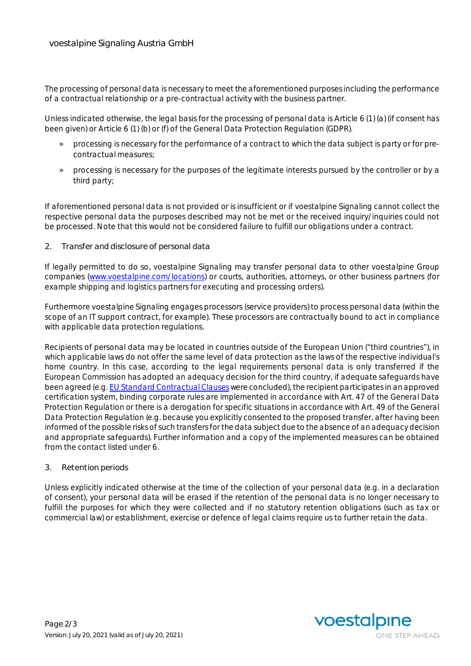The processing of personal data is necessary to meet the aforementioned purposes including the performance of a contractual relationship or a pre-contractual activity with the business partner.

Unless indicated otherwise, the legal basis for the processing of personal data is Article 6 (1) (a) (if consent has been given) or Article 6 (1) (b) or (f) of the General Data Protection Regulation (GDPR).

- » processing is necessary for the performance of a contract to which the data subject is party or for precontractual measures;
- » processing is necessary for the purposes of the legitimate interests pursued by the controller or by a third party;

If aforementioned personal data is not provided or is insufficient or if voestalpine Signaling cannot collect the respective personal data the purposes described may not be met or the received inquiry/inquiries could not be processed. Note that this would not be considered failure to fulfill our obligations under a contract.

**2. Transfer and disclosure of personal data**

If legally permitted to do so, voestalpine Signaling may transfer personal data to other voestalpine Group companies (www.voestalpine.com/locations) or courts, authorities, attorneys, or other business partners (for example shipping and logistics partners for executing and processing orders).

Furthermore voestalpine Signaling engages processors (service providers) to process personal data (within the scope of an IT support contract, for example). These processors are contractually bound to act in compliance with applicable data protection regulations.

Recipients of personal data may be located in countries outside of the European Union ("third countries"), in which applicable laws do not offer the same level of data protection as the laws of the respective individual's home country. In this case, according to the legal requirements personal data is only transferred if the European Commission has adopted an adequacy decision for the third country, if adequate safeguards have been agreed (e.g. EU Standard Contractual Clauses were concluded), the recipient participates in an approved certification system, binding corporate rules are implemented in accordance with Art. 47 of the General Data Protection Regulation or there is a derogation for specific situations in accordance with Art. 49 of the General Data Protection Regulation (e.g. because you explicitly consented to the proposed transfer, after having been informed of the possible risks of such transfers for the data subject due to the absence of an adequacy decision and appropriate safeguards). Further information and a copy of the implemented measures can be obtained from the contact listed under 6.

**3. Retention periods**

Unless explicitly indicated otherwise at the time of the collection of your personal data (e.g. in a declaration of consent), your personal data will be erased if the retention of the personal data is no longer necessary to fulfill the purposes for which they were collected and if no statutory retention obligations (such as tax or commercial law) or establishment, exercise or defence of legal claims require us to further retain the data.